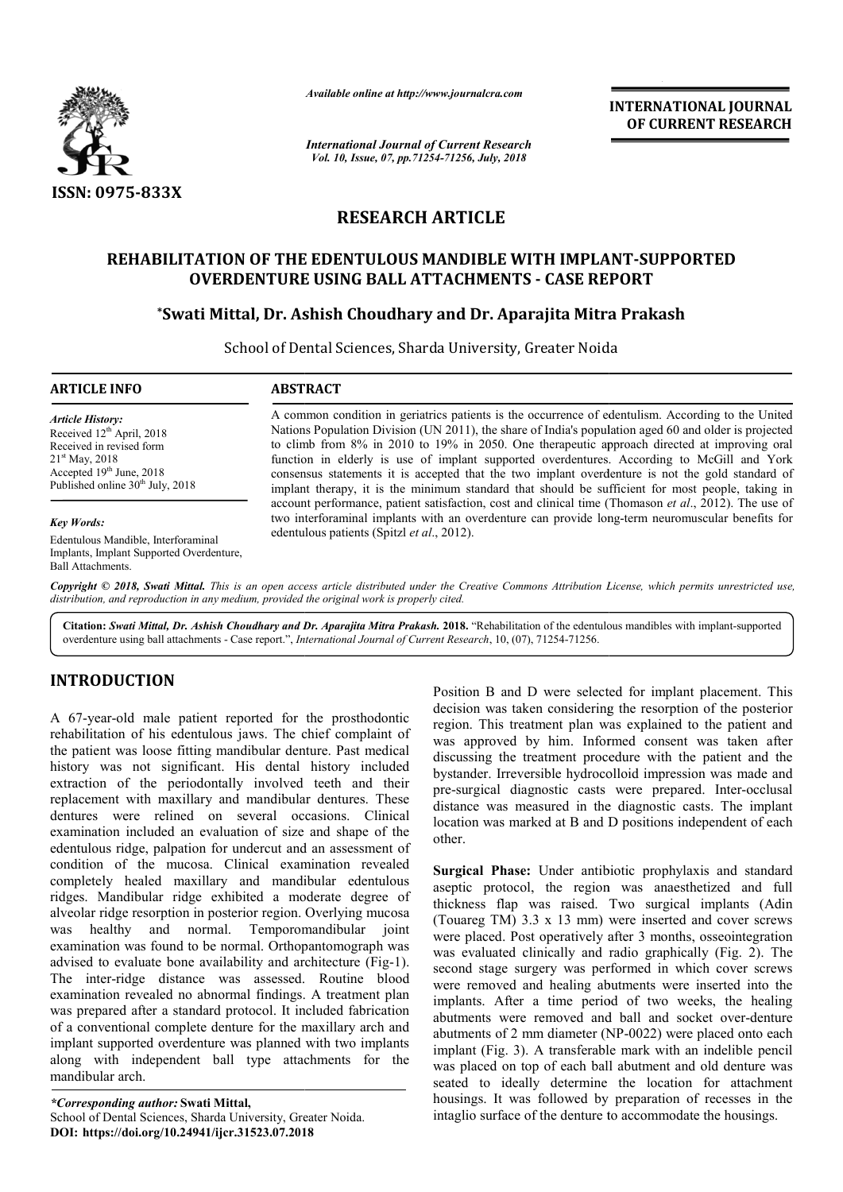

*Available online at http://www.journalcra.com*

*International Journal of Current Research Vol. 10, Issue, 07, pp.71254-71256, July, 2018*

**INTERNATIONAL JOURNAL OF CURRENT RESEARCH**

# **RESEARCH ARTICLE**

## **REHABILITATION OF THE EDENTULOUS MANDIBLE WITH IMPLANT REHABILITATION IMPLANT-SUPPORTED OVERDENTURE USING BALL ATTACHMENTS - CASE REPORT**

# OVERDENTURE USING BALL ATTACHMENTS - CASE REPORT<br>Swati Mittal, Dr. Ashish Choudhary and Dr. Aparajita Mitra Prakash\*

School of Dental Sciences, Sharda University, Greater Noida University, Greater Noida

#### **ARTICLE INFO ABSTRACT**

*Article History:* Received 12<sup>th</sup> April, 2018 Received in revised form 21st May, 2018 Accepted 19th June, 2018 Published online 30<sup>th</sup> July, 2018

#### *Key Words:*

Edentulous Mandible, Interforaminal Implants, Implant Supported Overdenture, Ball Attachments.

A common condition in geriatrics patients is the occurrence of edentulism. According to the United Nations Population Division (UN 2011), the share of India's population aged 60 and older is projected to climb from 8% in 2010 to 19% in 2050. One therapeutic approach directed at improving oral function in elderly is use of implant supported overdentures. According to McGill and York consensus statements it is accepted that the two implant overdenture is not the gold standard of implant therapy, it is the minimum standard that should be sufficient for most people, taking in account performance, patient satisfaction, cost and clinical time (Thomason et al.,  $2012$ ). The use of two interforaminal implants with an overdenture can provide long-term neuromuscular benefits for edentulous patients (Spitzl *et al*., 2012). A common condition in geriatrics patients is the occurrence of edentulism. According to the United Nations Population Division (UN 2011), the share of India's population aged 60 and older is projected to climb from 8% in 2

Copyright © 2018, Swati Mittal. This is an open access article distributed under the Creative Commons Attribution License, which permits unrestricted use, *distribution, and reproduction in any medium, provided the original work is properly cited.*

Citation: Swati Mittal, Dr. Ashish Choudhary and Dr. Aparajita Mitra Prakash. 2018. "Rehabilitation of the edentulous mandibles with implant-supported overdenture using ball attachments - Case report.", *International Journal of Current Research*, 10, (07), 71254-71256.

# **INTRODUCTION**

A 67-year-old male patient reported for the prosthodontic rehabilitation of his edentulous jaws. The chief complaint of the patient was loose fitting mandibular denture. Past medical history was not significant. His dental history included extraction of the periodontally involved teeth and their replacement with maxillary and mandibular dentures. These dentures were relined on several occasions. Clinical examination included an evaluation of size and shape of the edentulous ridge, palpation for undercut and an assessment of condition of the mucosa. Clinical examination revealed completely healed maxillary and mandibular edentulous ridges. Mandibular ridge exhibited a moderate degree of alveolar ridge resorption in posterior region. Overlying mucosa was healthy and normal. Temporomandibular joint examination was found to be normal. Orthopantomograph was advised to evaluate bone availability and architecture (Fig-1). The inter-ridge distance was assessed. Routine blood examination revealed no abnormal findings. A treatment plan was prepared after a standard protocol. It included fabrication of a conventional complete denture for the maxillary arch and implant supported overdenture was planned with two implants along with independent ball type attachments for the mandibular arch. old male patient reported for the prosthodontic<br>on of his edentulous jaws. The chief complaint of<br>was loose fitting mandibular denture. Past medical<br>s not significant. His dental history included<br>of the periodontally invol

*\*Corresponding author:* **Swati Mittal,** School of Dental Sciences, Sharda University, Greater Noida. **DOI: https://doi.org/10.24941/ijcr.31523.07.2018**

decision was taken considering the resorption of the posterior region. This treatment plan was explained to the patient and was approved by him. Informed consent was taken after discussing the treatment procedure with the patient and the bystander. Irreversible hydrocolloid impression was made and pre-surgical diagnostic casts were prepared. Inter distance was measured in the diagnostic casts. The implant location was marked at B and D positions independent of each other. distance was measured in the diagnostic casts. The implant location was marked at B and D positions independent of each other.<br>Surgical Phase: Under antibiotic prophylaxis and standard aseptic protocol, the region was anae D were selected for implant placement. This<br>ten considering the resorption of the posterior<br>atment plan was explained to the patient and<br>by him. Informed consent was taken after<br>reatment procedure with the patient and the<br>

**1** For the prosthodomic stack of mighal placement. This three that the prosthodomic decision was taken considering the responsion of the posterior The chief complaint of region. This treatment plan was explained to the pa **Surgical Phase:** Under antibiotic prophylaxis and standard thickness flap was raised. Two surgical implants (Adin (Touareg TM) 3.3 x 13 mm) were inserted and cover screws (Touareg TM)  $3.3 \times 13$  mm) were inserted and cover screws were placed. Post operatively after  $3$  months, osseointegration was evaluated clinically and radio graphically (Fig. 2). The second stage surgery was performed in which cover screws were removed and healing abutments were inserted into the implants. After a time period of two weeks, the healing abutments were removed and ball and socket over abutments of 2 mm diameter (NP-0022) were placed onto each implant (Fig. 3). A transferable mark with an indelible pencil was placed on top of each ball abutment and old denture was seated to ideally determine the location for attachment housings. It was followed by preparation of recesses in the intaglio surface of the denture to accommodate the housings. econd stage surgery was performed in which cover screws<br>were removed and healing abutments were inserted into the<br>mplants. After a time period of two weeks, the healing<br>butments were removed and ball and socket over-dentur implant (Fig. 3). A transferable mark with an indelible pencil was placed on top of each ball abutment and old denture was seated to ideally determine the location for attachment housings. It was followed by preparation of **NAL JOURNAL**<br> **NAL JOURNAL**<br> **IT RESEARCH**<br> **IT RESEARCH**<br> **IT RESEARCH**<br> **IT RESEARCH**<br> **IT RESEARCH**<br> **IT RESEARCH**<br> **IT RESEARCH**<br> **IT RESEARCH**<br> **IT RESEARCH**<br> **ITED**<br> **ITED**<br> **ITED**<br> **ITED**<br> **ITED**<br> **ITED**<br> **ITED**<br>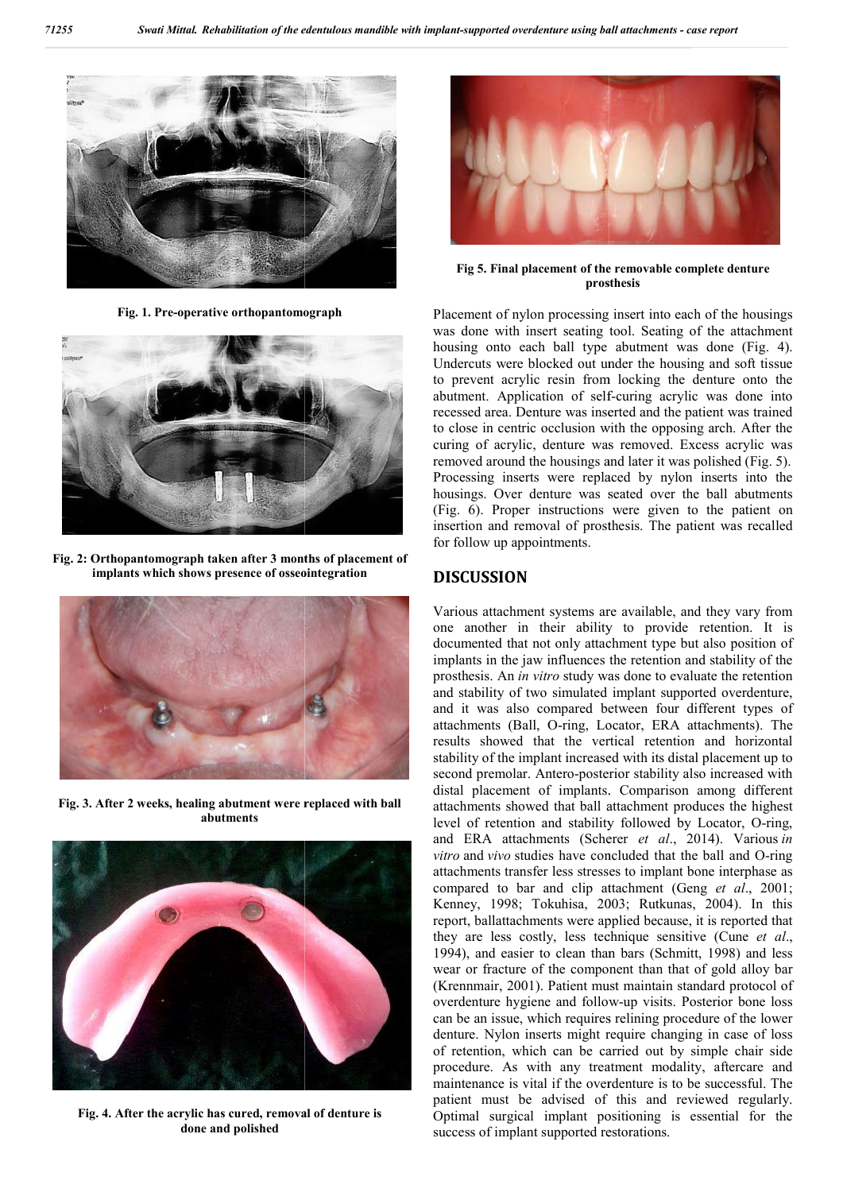

**Fig. 1. Pre-operative orthopantomograph**



**Fig. 2: Orthopantomograph taken after 3 months of placement of implants which shows presence of osseointegration**



**Fig. 3. After 2 weeks, healing abutment were replaced with ball abutments**



**Fig. 4. After the acrylic has cured, removal of denture is done and polished**



**prosthesis** Fig 5. Final placement of the removable complete denture

was done with insert seating tool. Seating of the attachment housing onto each ball type abutment was done (Fig. 4). Undercuts were blocked out under the housing and soft tissue to prevent acrylic resin from locking the denture onto the abutment. Application of self-curing acrylic was done into recessed area. Denture was inserted and the patient was trained to close in centric occlusion with the opposing arch. After the curing of acrylic, denture was removed. Excess acrylic was removed around the housings and later it was polished (Fig. 5). Processing inserts were replaced by nylon inserts into the housings. Over denture was seated over the ball abutments recessed area. Denture was inserted and the patient was trained<br>to close in centric occlusion with the opposing arch. After the<br>curing of acrylic, denture was removed. Excess acrylic was<br>removed around the housings and lat insertion and removal of prosthesis. The patient was recalled for follow up appointments. of nylon processing insert into each of the housings<br>with insert seating tool. Seating of the attachment<br>nto each ball type abutment was done (Fig. 4).<br>were blocked out under the housing and soft tissue<br>acrylic resin from

### **DISCUSSION**

Various attachment systems are available, and they vary from one another in their ability to provide retention. It is documented that not only attachment type but also position of implants in the jaw influences the retention and stability of the prosthesis. An *in vitro* study was done to evaluate the retention and stability of two simulated implant supported overdenture, and it was also compared between four different types of attachments (Ball, O-ring, Locator, ERA attachments). The results showed that the vertical retention and horizontal stability of the implant increased with its distal placement up to second premolar. Antero-posterior stability also increased with distal placement of implants. Comparison among different attachments showed that ball attachment produces the highest level of retention and stability followed by Locator, O and ERA attachments (Scherer *et al.*, 2014). Various *in vitro* and *vivo* studies have concluded that the ball and O-ring attachments transfer less stresses to implant bone interphase as attachments transfer less stresses to implant bone interphase as compared to bar and clip attachment (Geng *et al.*, 2001; Kenney, 1998; Tokuhisa, 2003; Rutkunas, 2004). In this report, ballattachments were applied because, it is reported that report, ballattachments were applied because, it is reported that they are less costly, less technique sensitive (Cune *et al.*, 1994), and easier to clean than bars (Schmitt, 1998) and less wear or fracture of the component than that of gold alloy bar (Krennmair, 2001). Patient must maintain standard protocol of wear or fracture of the component than that of gold alloy bar (Krennmair, 2001). Patient must maintain standard protocol of overdenture hygiene and follow-up visits. Posterior bone loss can be an issue, which requires relining procedure of the lower denture. Nylon inserts might require changing in case of loss of retention, which can be carried out by simple chair side procedure. As with any treatment modality, aftercare and maintenance is vital if the overdenture is to be successful. The patient must be advised of this and reviewed regularly. Optimal surgical implant positioning is essential for the success of implant supported restorations. insertion and removal of prosthesis. The patient was recalled<br>for follow up appointments.<br>**DISCUSSION**<br>Various attachment systems are available, and they vary from<br>one another in their ability to provide retention. It is<br>d placement of implants. Comparison among different<br>ments showed that ball attachment produces the highest<br>of retention and stability followed by Locator, O-ring, reliance, which requires relining procedure of the lower<br>on inserts might require changing in case of loss<br>which can be carried out by simple chair side<br>is with any treatment modality, aftercare and<br>is vital if the overden **Fig. 6.** Final pharmaton wising bull attachments - case reported or<br>reported or relations. The constrained processing insert into each of the<br>vas done with insert seeing insert into each of the boussing ond case<br>the bouss